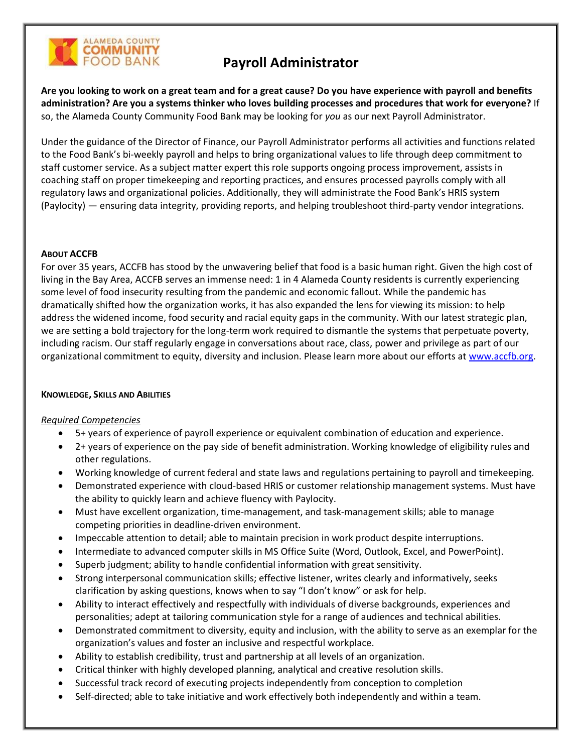

# **Payroll Administrator**

**Are you looking to work on a great team and for a great cause? Do you have experience with payroll and benefits administration? Are you a systems thinker who loves building processes and procedures that work for everyone?** If so, the Alameda County Community Food Bank may be looking for *you* as our next Payroll Administrator.

Under the guidance of the Director of Finance, our Payroll Administrator performs all activities and functions related to the Food Bank's bi-weekly payroll and helps to bring organizational values to life through deep commitment to staff customer service. As a subject matter expert this role supports ongoing process improvement, assists in coaching staff on proper timekeeping and reporting practices, and ensures processed payrolls comply with all regulatory laws and organizational policies. Additionally, they will administrate the Food Bank's HRIS system (Paylocity) — ensuring data integrity, providing reports, and helping troubleshoot third-party vendor integrations.

# **ABOUT ACCFB**

For over 35 years, ACCFB has stood by the unwavering belief that food is a basic human right. Given the high cost of living in the Bay Area, ACCFB serves an immense need: 1 in 4 Alameda County residents is currently experiencing some level of food insecurity resulting from the pandemic and economic fallout. While the pandemic has dramatically shifted how the organization works, it has also expanded the lens for viewing its mission: to help address the widened income, food security and racial equity gaps in the community. With our latest strategic plan, we are setting a bold trajectory for the long-term work required to dismantle the systems that perpetuate poverty, including racism. Our staff regularly engage in conversations about race, class, power and privilege as part of our organizational commitment to equity, diversity and inclusion. Please learn more about our efforts at [www.accfb.org.](http://www.accfb.org/)

# **KNOWLEDGE, SKILLS AND ABILITIES**

#### *Required Competencies*

- 5+ years of experience of payroll experience or equivalent combination of education and experience.
- 2+ years of experience on the pay side of benefit administration. Working knowledge of eligibility rules and other regulations.
- Working knowledge of current federal and state laws and regulations pertaining to payroll and timekeeping.
- Demonstrated experience with cloud-based HRIS or customer relationship management systems. Must have the ability to quickly learn and achieve fluency with Paylocity.
- Must have excellent organization, time-management, and task-management skills; able to manage competing priorities in deadline-driven environment.
- Impeccable attention to detail; able to maintain precision in work product despite interruptions.
- Intermediate to advanced computer skills in MS Office Suite (Word, Outlook, Excel, and PowerPoint).
- Superb judgment; ability to handle confidential information with great sensitivity.
- Strong interpersonal communication skills; effective listener, writes clearly and informatively, seeks clarification by asking questions, knows when to say "I don't know" or ask for help.
- Ability to interact effectively and respectfully with individuals of diverse backgrounds, experiences and personalities; adept at tailoring communication style for a range of audiences and technical abilities.
- Demonstrated commitment to diversity, equity and inclusion, with the ability to serve as an exemplar for the organization's values and foster an inclusive and respectful workplace.
- Ability to establish credibility, trust and partnership at all levels of an organization.
- Critical thinker with highly developed planning, analytical and creative resolution skills.
- Successful track record of executing projects independently from conception to completion
- Self-directed; able to take initiative and work effectively both independently and within a team.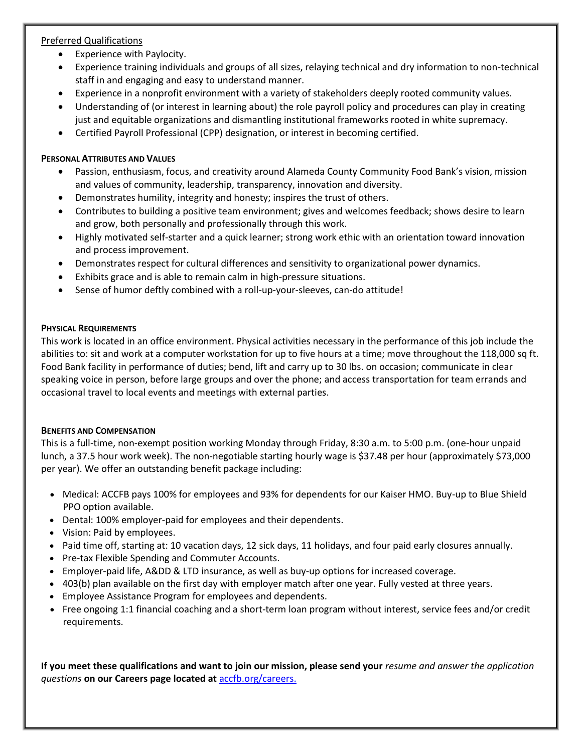# Preferred Qualifications

- Experience with Paylocity.
- Experience training individuals and groups of all sizes, relaying technical and dry information to non-technical staff in and engaging and easy to understand manner.
- Experience in a nonprofit environment with a variety of stakeholders deeply rooted community values.
- Understanding of (or interest in learning about) the role payroll policy and procedures can play in creating just and equitable organizations and dismantling institutional frameworks rooted in white supremacy.
- Certified Payroll Professional (CPP) designation, or interest in becoming certified.

# **PERSONAL ATTRIBUTES AND VALUES**

- Passion, enthusiasm, focus, and creativity around Alameda County Community Food Bank's vision, mission and values of community, leadership, transparency, innovation and diversity.
- Demonstrates humility, integrity and honesty; inspires the trust of others.
- Contributes to building a positive team environment; gives and welcomes feedback; shows desire to learn and grow, both personally and professionally through this work.
- Highly motivated self-starter and a quick learner; strong work ethic with an orientation toward innovation and process improvement.
- Demonstrates respect for cultural differences and sensitivity to organizational power dynamics.
- Exhibits grace and is able to remain calm in high-pressure situations.
- Sense of humor deftly combined with a roll-up-your-sleeves, can-do attitude!

# **PHYSICAL REQUIREMENTS**

This work is located in an office environment. Physical activities necessary in the performance of this job include the abilities to: sit and work at a computer workstation for up to five hours at a time; move throughout the 118,000 sq ft. Food Bank facility in performance of duties; bend, lift and carry up to 30 lbs. on occasion; communicate in clear speaking voice in person, before large groups and over the phone; and access transportation for team errands and occasional travel to local events and meetings with external parties.

# **BENEFITS AND COMPENSATION**

This is a full-time, non-exempt position working Monday through Friday, 8:30 a.m. to 5:00 p.m. (one-hour unpaid lunch, a 37.5 hour work week). The non-negotiable starting hourly wage is \$37.48 per hour (approximately \$73,000 per year). We offer an outstanding benefit package including:

- Medical: ACCFB pays 100% for employees and 93% for dependents for our Kaiser HMO. Buy-up to Blue Shield PPO option available.
- Dental: 100% employer-paid for employees and their dependents.
- Vision: Paid by employees.
- Paid time off, starting at: 10 vacation days, 12 sick days, 11 holidays, and four paid early closures annually.
- Pre-tax Flexible Spending and Commuter Accounts.
- Employer-paid life, A&DD & LTD insurance, as well as buy-up options for increased coverage.
- 403(b) plan available on the first day with employer match after one year. Fully vested at three years.
- Employee Assistance Program for employees and dependents.
- Free ongoing 1:1 financial coaching and a short-term loan program without interest, service fees and/or credit requirements.

**If you meet these qualifications and want to join our mission, please send your** *resume and answer the application questions* **on our Careers page located at** [accfb.org/careers.](https://www.accfb.org/about-us/careers/)